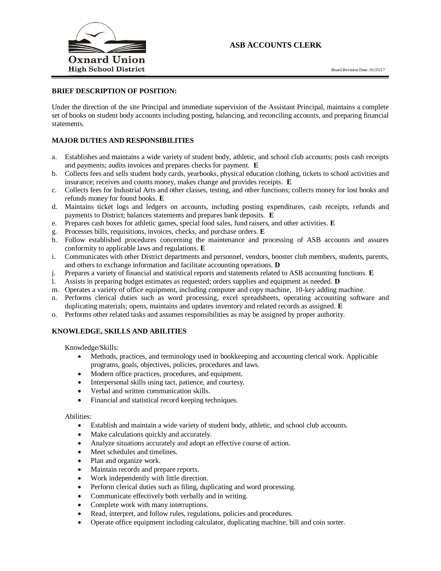

# **ASB ACCOUNTS CLERK**

### **BRIEF DESCRIPTION OF POSITION:**

Under the direction of the site Principal and immediate supervision of the Assistant Principal, maintains a complete set of books on student body accounts including posting, balancing, and reconciling accounts, and preparing financial statements.

#### **MAJOR DUTIES AND RESPONSIBILITIES**

- a. Establishes and maintains a wide variety of student body, athletic, and school club accounts; posts cash receipts and payments; audits invoices and prepares checks for payment. **E**
- b. Collects fees and sells student body cards, yearbooks, physical education clothing, tickets to school activities and insurance; receives and counts money, makes change and provides receipts. **E**
- c. Collects fees for Industrial Arts and other classes, testing, and other functions; collects money for lost books and refunds money for found books. **E**
- d. Maintains ticket logs and ledgers on accounts, including posting expenditures, cash receipts, refunds and payments to District; balances statements and prepares bank deposits. **E**
- e. Prepares cash boxes for athletic games, special food sales, fund raisers, and other activities. **E**
- g. Processes bills, requisitions, invoices, checks, and purchase orders. **E**
- h. Follow established procedures concerning the maintenance and processing of ASB accounts and assures conformity to applicable laws and regulations. **E**
- i. Communicates with other District departments and personnel, vendors, booster club members, students, parents, and others to exchange information and facilitate accounting operations. **D**
- j. Prepares a variety of financial and statistical reports and statements related to ASB accounting functions. **E**
- l. Assists in preparing budget estimates as requested; orders supplies and equipment as needed. **D**
- m. Operates a variety of office equipment, including computer and copy machine, 10-key adding machine.
- n. Performs clerical duties such as word processing, excel spreadsheets, operating accounting software and duplicating materials; opens, maintains and updates inventory and related records as assigned. **E**
- o. Performs other related tasks and assumes responsibilities as may be assigned by proper authority.

### **KNOWLEDGE, SKILLS AND ABILITIES**

Knowledge/Skills:

- Methods, practices, and terminology used in bookkeeping and accounting clerical work. Applicable programs, goals, objectives, policies, procedures and laws.
- Modern office practices, procedures, and equipment.
- Interpersonal skills using tact, patience, and courtesy.
- Verbal and written communication skills.
- Financial and statistical record keeping techniques.

Abilities:

- Establish and maintain a wide variety of student body, athletic, and school club accounts.
- Make calculations quickly and accurately.
- Analyze situations accurately and adopt an effective course of action.
- Meet schedules and timelines.
- Plan and organize work.
- Maintain records and prepare reports.
- Work independently with little direction.
- Perform clerical duties such as filing, duplicating and word processing.
- Communicate effectively both verbally and in writing.
- Complete work with many interruptions.
- Read, interpret, and follow rules, regulations, policies and procedures.
- Operate office equipment including calculator, duplicating machine, bill and coin sorter.